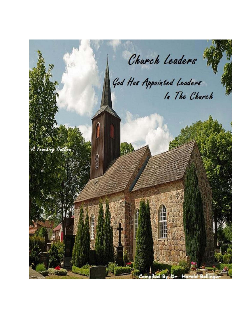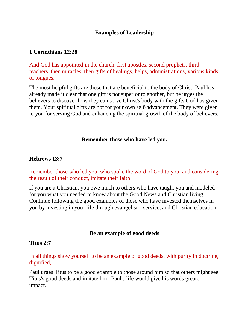## **Examples of Leadership**

### **1 [Corinthians](http://bible.knowing-jesus.com/1-Corinthians/12/28) 12:28**

And God has appointed in the church, first apostles, second prophets, third teachers, then miracles, then gifts of healings, helps, administrations, various kinds of tongues.

The most helpful gifts are those that are beneficial to the body of Christ. Paul has already made it clear that one gift is not superior to another, but he urges the believers to discover how they can serve Christ's body with the gifts God has given them. Your spiritual gifts are not for your own self-advancement. They were given to you for serving God and enhancing the spiritual growth of the body of believers.

#### **Remember those who have led you.**

#### **[Hebrews](http://bible.knowing-jesus.com/Hebrews/13/7) 13:7**

Remember those who led you, who spoke the word of God to you; and considering the result of their conduct, imitate their faith.

If you are a Christian, you owe much to others who have taught you and modeled for you what you needed to know about the Good News and Christian living. Continue following the good examples of those who have invested themselves in you by investing in your life through evangelism, service, and Christian education.

#### **Be an example of good deeds**

#### **[Titus](http://bible.knowing-jesus.com/Titus/2/7) 2:7**

In all things show yourself to be an example of good deeds, with purity in doctrine, dignified,

Paul urges Titus to be a good example to those around him so that others might see Titus's good deeds and imitate him. Paul's life would give his words greater impact.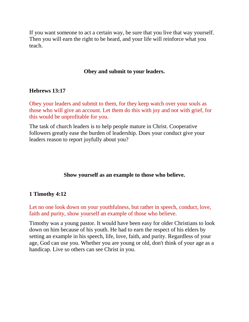If you want someone to act a certain way, be sure that you live that way yourself. Then you will earn the right to be heard, and your life will reinforce what you teach.

### **Obey and submit to your leaders.**

### **[Hebrews](http://bible.knowing-jesus.com/Hebrews/13/17) 13:17**

Obey your leaders and submit to them, for they keep watch over your souls as those who will give an account. Let them do this with joy and not with grief, for this would be unprofitable for you.

The task of church leaders is to help people mature in Christ. Cooperative followers greatly ease the burden of leadership. Does your conduct give your leaders reason to report joyfully about you?

### **Show yourself as an example to those who believe.**

## **1 [Timothy](http://bible.knowing-jesus.com/1-Timothy/4/12) 4:12**

Let no one look down on your youthfulness, but rather in speech, conduct, love, faith and purity, show yourself an example of those who believe.

Timothy was a young pastor. It would have been easy for older Christians to look down on him because of his youth. He had to earn the respect of his elders by setting an example in his speech, life, love, faith, and purity. Regardless of your age, God can use you. Whether you are young or old, don't think of your age as a handicap. Live so others can see Christ in you.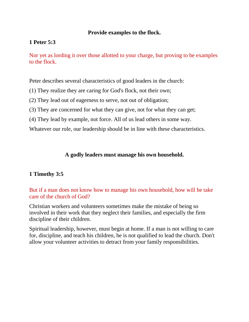### **Provide examples to the flock.**

### **1 [Peter](http://bible.knowing-jesus.com/1-Peter/5/3) 5:3**

Nor yet as lording it over those allotted to your charge, but proving to be examples to the flock.

Peter describes several characteristics of good leaders in the church:

- (1) They realize they are caring for God's flock, not their own;
- (2) They lead out of eagerness to serve, not out of obligation;
- (3) They are concerned for what they can give, not for what they can get;
- (4) They lead by example, not force. All of us lead others in some way.

Whatever our role, our leadership should be in line with these characteristics.

### **A godly leaders must manage his own household.**

## **1 [Timothy](http://bible.knowing-jesus.com/1-Timothy/3/5) 3:5**

But if a man does not know how to manage his own household, how will he take care of the church of God?

Christian workers and volunteers sometimes make the mistake of being so involved in their work that they neglect their families, and especially the firm discipline of their children.

Spiritual leadership, however, must begin at home. If a man is not willing to care for, discipline, and teach his children, he is not qualified to lead the church. Don't allow your volunteer activities to detract from your family responsibilities.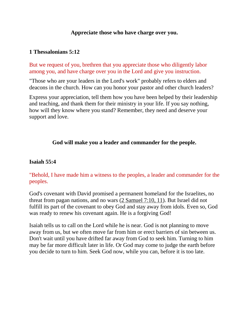### **Appreciate those who have charge over you.**

### **1 [Thessalonians](http://bible.knowing-jesus.com/1-Thessalonians/5/12) 5:12**

But we request of you, brethren that you appreciate those who diligently labor among you, and have charge over you in the Lord and give you instruction.

"Those who are your leaders in the Lord's work" probably refers to elders and deacons in the church. How can you honor your pastor and other church leaders?

Express your appreciation, tell them how you have been helped by their leadership and teaching, and thank them for their ministry in your life. If you say nothing, how will they know where you stand? Remember, they need and deserve your support and love.

### **God will make you a leader and commander for the people.**

### **[Isaiah](http://bible.knowing-jesus.com/Isaiah/55/4) 55:4**

## "Behold, I have made him a witness to the peoples, a leader and commander for the peoples.

God's covenant with David promised a permanent homeland for the Israelites, no threat from pagan nations, and no wars [\(2 Samuel 7:10, 11\)](http://www.crossbooks.com/verse.asp?ref=2Sa+7%3A10-11). But Israel did not fulfill its part of the covenant to obey God and stay away from idols. Even so, God was ready to renew his covenant again. He is a forgiving God!

Isaiah tells us to call on the Lord while he is near. God is not planning to move away from us, but we often move far from him or erect barriers of sin between us. Don't wait until you have drifted far away from God to seek him. Turning to him may be far more difficult later in life. Or God may come to judge the earth before you decide to turn to him. Seek God now, while you can, before it is too late.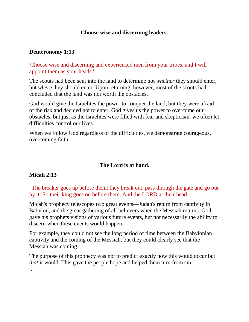### **Choose wise and discerning leaders.**

## **[Deuteronomy](http://bible.knowing-jesus.com/Deuteronomy/1/13) 1:13**

'Choose wise and discerning and experienced men from your tribes, and I will appoint them as your heads.'

The scouts had been sent into the land to determine not *whether* they should enter, but *where* they should enter. Upon returning, however, most of the scouts had concluded that the land was not worth the obstacles.

God would give the Israelites the power to conquer the land, but they were afraid of the risk and decided not to enter. God gives us the power to overcome our obstacles, but just as the Israelites were filled with fear and skepticism, we often let difficulties control our lives.

When we follow God regardless of the difficulties, we demonstrate courageous, overcoming faith.

## **The Lord is at hand.**

## **[Micah](http://bible.knowing-jesus.com/Micah/2/13) 2:13**

.

"The breaker goes up before them; they break out, pass through the gate and go out by it. So their king goes on before them, And the LORD at their head."

Micah's prophecy telescopes two great events—Judah's return from captivity in Babylon, and the great gathering of all believers when the Messiah returns. God gave his prophets visions of various future events, but not necessarily the ability to discern when these events would happen.

For example, they could not see the long period of time between the Babylonian captivity and the coming of the Messiah, but they could clearly see that the Messiah was coming.

The purpose of this prophecy was not to predict exactly how this would occur but *that* it would. This gave the people hope and helped them turn from sin.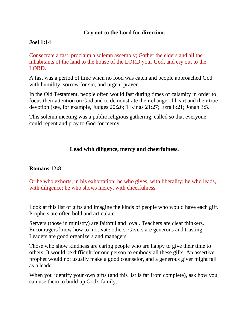## **Cry out to the Lord for direction.**

### **Joel [1:14](http://bible.knowing-jesus.com/Joel/1/14)**

Consecrate a fast, proclaim a solemn assembly; Gather the elders and all the inhabitants of the land to the house of the LORD your God, and cry out to the LORD.

A fast was a period of time when no food was eaten and people approached God with humility, sorrow for sin, and urgent prayer.

In the Old Testament, people often would fast during times of calamity in order to focus their attention on God and to demonstrate their change of heart and their true devotion (see, for example, [Judges 20:26;](http://www.crossbooks.com/verse.asp?ref=Jdg+20%3A26) [1 Kings 21:27;](http://www.crossbooks.com/verse.asp?ref=1Ki+21%3A27) [Ezra 8:21;](http://www.crossbooks.com/verse.asp?ref=Ezr+8%3A21) [Jonah 3:5.](http://www.crossbooks.com/verse.asp?ref=Jnh+3%3A5)

This solemn meeting was a public religious gathering, called so that everyone could repent and pray to God for mercy

#### **Lead with diligence, mercy and cheerfulness.**

#### **[Romans](http://bible.knowing-jesus.com/Romans/12/8) 12:8**

Or he who exhorts, in his exhortation; he who gives, with liberality; he who leads, with diligence; he who shows mercy, with cheerfulness.

Look at this list of gifts and imagine the kinds of people who would have each gift. Prophets are often bold and articulate.

Servers (those in ministry) are faithful and loyal. Teachers are clear thinkers. Encouragers know how to motivate others. Givers are generous and trusting. Leaders are good organizers and managers.

Those who show kindness are caring people who are happy to give their time to others. It would be difficult for one person to embody all these gifts. An assertive prophet would not usually make a good counselor, and a generous giver might fail as a leader.

When you identify your own gifts (and this list is far from complete), ask how you can use them to build up God's family.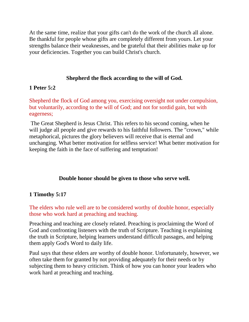At the same time, realize that your gifts can't do the work of the church all alone. Be thankful for people whose gifts are completely different from yours. Let your strengths balance their weaknesses, and be grateful that their abilities make up for your deficiencies. Together you can build Christ's church.

## **Shepherd the flock according to the will of God.**

## **1 [Peter](http://bible.knowing-jesus.com/1-Peter/5/2) 5:2**

Shepherd the flock of God among you, exercising oversight not under compulsion, but voluntarily, according to the will of God; and not for sordid gain, but with eagerness;

The Great Shepherd is Jesus Christ. This refers to his second coming, when he will judge all people and give rewards to his faithful followers. The "crown," while metaphorical, pictures the glory believers will receive that is eternal and unchanging. What better motivation for selfless service! What better motivation for keeping the faith in the face of suffering and temptation!

# **Double honor should be given to those who serve well.**

# **1 [Timothy](http://bible.knowing-jesus.com/1-Timothy/5/17) 5:17**

The elders who rule well are to be considered worthy of double honor, especially those who work hard at preaching and teaching.

Preaching and teaching are closely related. Preaching is proclaiming the Word of God and confronting listeners with the truth of Scripture. Teaching is explaining the truth in Scripture, helping learners understand difficult passages, and helping them apply God's Word to daily life.

Paul says that these elders are worthy of double honor. Unfortunately, however, we often take them for granted by not providing adequately for their needs or by subjecting them to heavy criticism. Think of how you can honor your leaders who work hard at preaching and teaching.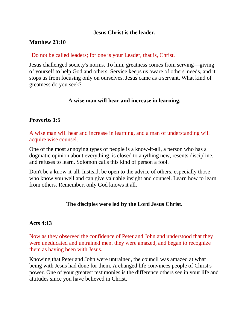### **Jesus Christ is the leader.**

### **[Matthew](http://bible.knowing-jesus.com/Matthew/23/10) 23:10**

### "Do not be called leaders; for one is your Leader, that is, Christ.

Jesus challenged society's norms. To him, greatness comes from serving—giving of yourself to help God and others. Service keeps us aware of others' needs, and it stops us from focusing only on ourselves. Jesus came as a servant. What kind of greatness do you seek?

### **A wise man will hear and increase in learning.**

## **[Proverbs](http://bible.knowing-jesus.com/Proverbs/1/5) 1:5**

A wise man will hear and increase in learning, and a man of understanding will acquire wise counsel.

One of the most annoying types of people is a know-it-all, a person who has a dogmatic opinion about everything, is closed to anything new, resents discipline, and refuses to learn. Solomon calls this kind of person a fool.

Don't be a know-it-all. Instead, be open to the advice of others, especially those who know you well and can give valuable insight and counsel. Learn how to learn from others. Remember, only God knows it all.

## **The disciples were led by the Lord Jesus Christ.**

## **[Acts](http://bible.knowing-jesus.com/Acts/4/13) 4:13**

Now as they observed the confidence of Peter and John and understood that they were uneducated and untrained men, they were amazed, and began to recognize them as having been with Jesus.

Knowing that Peter and John were untrained, the council was amazed at what being with Jesus had done for them. A changed life convinces people of Christ's power. One of your greatest testimonies is the difference others see in your life and attitudes since you have believed in Christ.